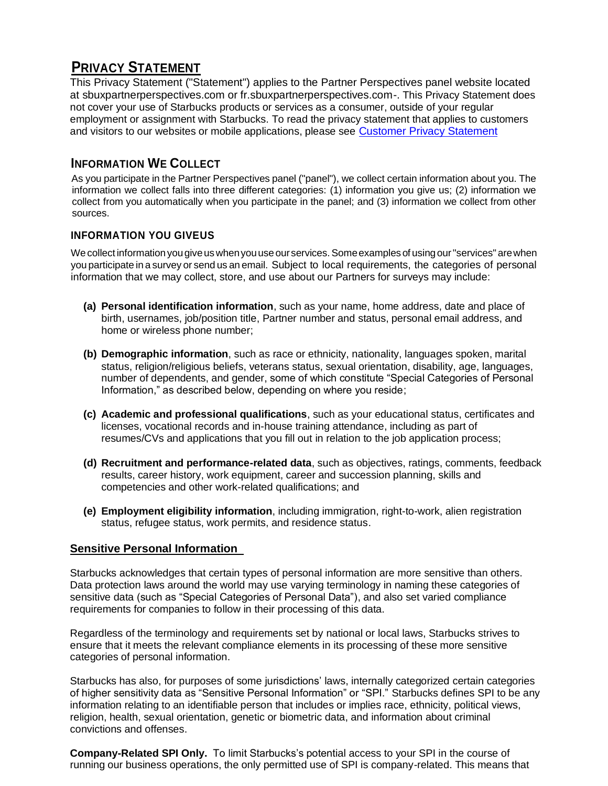# **PRIVACY STATEMENT**

This Privacy Statement ("Statement") applies to the Partner Perspectives panel website located at sbuxpartnerperspectives.com or fr.sbuxpartnerperspectives.com-. This Privacy Statement does not cover your use of Starbucks products or services as a consumer, outside of your regular employment or assignment with Starbucks. To read the privacy statement that applies to customers and visitors to our websites or mobile applications, please see [Customer Privacy Statement](http://www.starbucks.com/about-us/company-information/online-policies/privacy-policy)

# **INFORMATION WE COLLECT**

As you participate in the Partner Perspectives panel ("panel"), we collect certain information about you. The information we collect falls into three different categories: (1) information you give us; (2) information we collect from you automatically when you participate in the panel; and (3) information we collect from other sources.

### **INFORMATION YOU GIVEUS**

We collect information you give us when you use our services. Some examples of using our "services" are when you participate in a survey or send us an email. Subject to local requirements, the categories of personal information that we may collect, store, and use about our Partners for surveys may include:

- **(a) Personal identification information**, such as your name, home address, date and place of birth, usernames, job/position title, Partner number and status, personal email address, and home or wireless phone number;
- **(b) Demographic information**, such as race or ethnicity, nationality, languages spoken, marital status, religion/religious beliefs, veterans status, sexual orientation, disability, age, languages, number of dependents, and gender, some of which constitute "Special Categories of Personal Information," as described below, depending on where you reside;
- **(c) Academic and professional qualifications**, such as your educational status, certificates and licenses, vocational records and in-house training attendance, including as part of resumes/CVs and applications that you fill out in relation to the job application process;
- **(d) Recruitment and performance-related data**, such as objectives, ratings, comments, feedback results, career history, work equipment, career and succession planning, skills and competencies and other work-related qualifications; and
- **(e) Employment eligibility information**, including immigration, right-to-work, alien registration status, refugee status, work permits, and residence status.

#### **Sensitive Personal Information**

Starbucks acknowledges that certain types of personal information are more sensitive than others. Data protection laws around the world may use varying terminology in naming these categories of sensitive data (such as "Special Categories of Personal Data"), and also set varied compliance requirements for companies to follow in their processing of this data.

Regardless of the terminology and requirements set by national or local laws, Starbucks strives to ensure that it meets the relevant compliance elements in its processing of these more sensitive categories of personal information.

Starbucks has also, for purposes of some jurisdictions' laws, internally categorized certain categories of higher sensitivity data as "Sensitive Personal Information" or "SPI." Starbucks defines SPI to be any information relating to an identifiable person that includes or implies race, ethnicity, political views, religion, health, sexual orientation, genetic or biometric data, and information about criminal convictions and offenses.

**Company-Related SPI Only.** To limit Starbucks's potential access to your SPI in the course of running our business operations, the only permitted use of SPI is company-related. This means that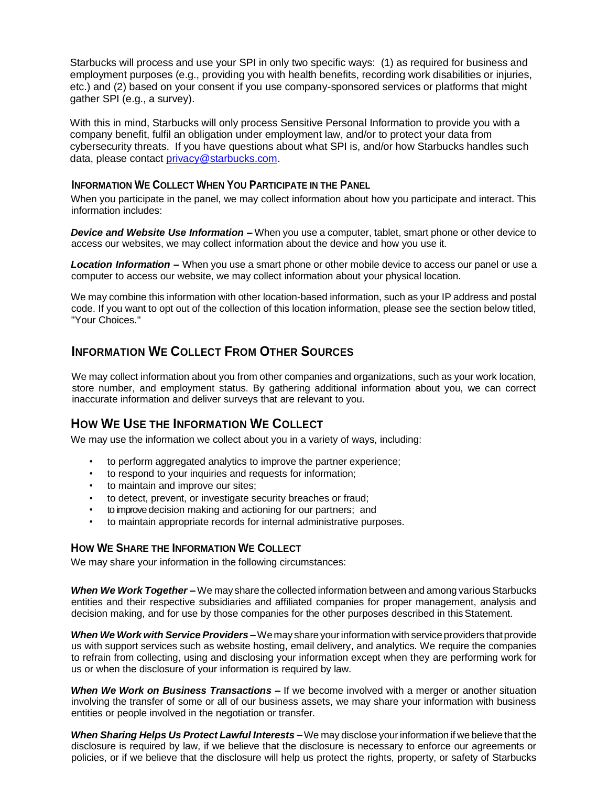Starbucks will process and use your SPI in only two specific ways: (1) as required for business and employment purposes (e.g., providing you with health benefits, recording work disabilities or injuries, etc.) and (2) based on your consent if you use company-sponsored services or platforms that might gather SPI (e.g., a survey).

With this in mind, Starbucks will only process Sensitive Personal Information to provide you with a company benefit, fulfil an obligation under employment law, and/or to protect your data from cybersecurity threats. If you have questions about what SPI is, and/or how Starbucks handles such data, please contact [privacy@starbucks.com.](mailto:privacy@starbucks.com)

#### **INFORMATION WE COLLECT WHEN YOU PARTICIPATE IN THE PANEL**

When you participate in the panel, we may collect information about how you participate and interact. This information includes:

*Device and Website Use Information –* When you use a computer, tablet, smart phone or other device to access our websites, we may collect information about the device and how you use it.

*Location Information –* When you use a smart phone or other mobile device to access our panel or use a computer to access our website, we may collect information about your physical location.

We may combine this information with other location-based information, such as your IP address and postal code. If you want to opt out of the collection of this location information, please see the section below titled, "Your Choices."

# **INFORMATION WE COLLECT FROM OTHER SOURCES**

We may collect information about you from other companies and organizations, such as your work location, store number, and employment status. By gathering additional information about you, we can correct inaccurate information and deliver surveys that are relevant to you.

# **HOW WE USE THE INFORMATION WE COLLECT**

We may use the information we collect about you in a variety of ways, including:

- to perform aggregated analytics to improve the partner experience;
- to respond to your inquiries and requests for information;
- to maintain and improve our sites;
- to detect, prevent, or investigate security breaches or fraud;
- to improve decision making and actioning for our partners; and
- to maintain appropriate records for internal administrative purposes.

#### **HOW WE SHARE THE INFORMATION WE COLLECT**

We may share your information in the following circumstances:

*When We Work Together –* We may share the collected information between and among various Starbucks entities and their respective subsidiaries and affiliated companies for proper management, analysis and decision making, and for use by those companies for the other purposes described in this Statement.

*When We Work with Service Providers –*Wemay share yourinformation with serviceproviders thatprovide us with support services such as website hosting, email delivery, and analytics. We require the companies to refrain from collecting, using and disclosing your information except when they are performing work for us or when the disclosure of your information is required by law.

*When We Work on Business Transactions –* If we become involved with a merger or another situation involving the transfer of some or all of our business assets, we may share your information with business entities or people involved in the negotiation or transfer.

*When Sharing Helps Us Protect Lawful Interests –*We may disclose yourinformation if we believe that the disclosure is required by law, if we believe that the disclosure is necessary to enforce our agreements or policies, or if we believe that the disclosure will help us protect the rights, property, or safety of Starbucks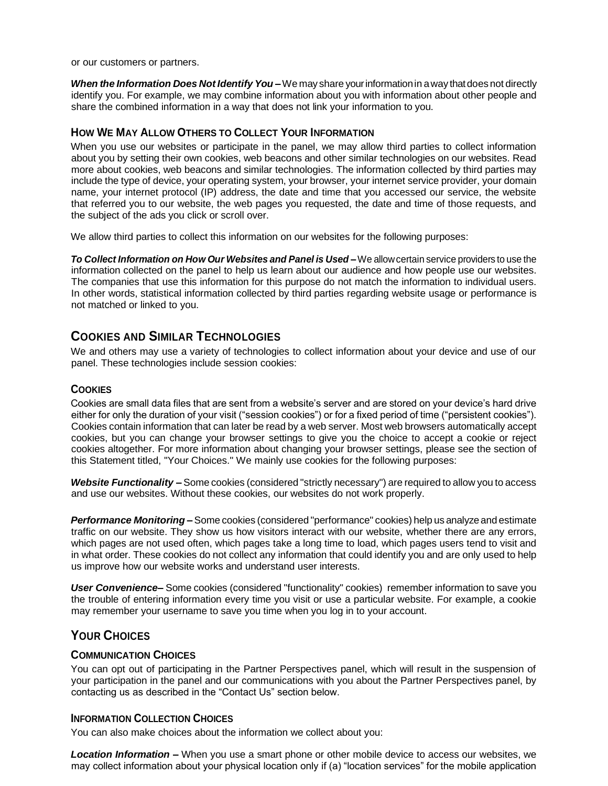or our customers or partners.

*When the Information Does Not Identify You –*We may share yourinformationin away thatdoes not directly identify you. For example, we may combine information about you with information about other people and share the combined information in a way that does not link your information to you.

#### **HOW WE MAY ALLOW OTHERS TO COLLECT YOUR INFORMATION**

When you use our websites or participate in the panel, we may allow third parties to collect information about you by setting their own cookies, web beacons and other similar technologies on our websites. Read more about cookies, web beacons and similar technologies. The information collected by third parties may include the type of device, your operating system, your browser, your internet service provider, your domain name, your internet protocol (IP) address, the date and time that you accessed our service, the website that referred you to our website, the web pages you requested, the date and time of those requests, and the subject of the ads you click or scroll over.

We allow third parties to collect this information on our websites for the following purposes:

*To Collect Information on How Our Websites and Panel is Used –*We allowcertain service providers to use the information collected on the panel to help us learn about our audience and how people use our websites. The companies that use this information for this purpose do not match the information to individual users. In other words, statistical information collected by third parties regarding website usage or performance is not matched or linked to you.

# **COOKIES AND SIMILAR TECHNOLOGIES**

We and others may use a variety of technologies to collect information about your device and use of our panel. These technologies include session cookies:

#### **COOKIES**

Cookies are small data files that are sent from a website's server and are stored on your device's hard drive either for only the duration of your visit ("session cookies") or for a fixed period of time ("persistent cookies"). Cookies contain information that can later be read by a web server. Most web browsers automatically accept cookies, but you can change your browser settings to give you the choice to accept a cookie or reject cookies altogether. For more information about changing your browser settings, please see the section of this Statement titled, "Your Choices." We mainly use cookies for the following purposes:

*Website Functionality –* Some cookies (considered "strictly necessary") are required to allow you to access and use our websites. Without these cookies, our websites do not work properly.

**Performance Monitoring –** Some cookies (considered "performance" cookies) help us analyze and estimate traffic on our website. They show us how visitors interact with our website, whether there are any errors, which pages are not used often, which pages take a long time to load, which pages users tend to visit and in what order. These cookies do not collect any information that could identify you and are only used to help us improve how our website works and understand user interests.

*User Convenience–* Some cookies (considered "functionality" cookies) remember information to save you the trouble of entering information every time you visit or use a particular website. For example, a cookie may remember your username to save you time when you log in to your account.

# **YOUR CHOICES**

#### **COMMUNICATION CHOICES**

You can opt out of participating in the Partner Perspectives panel, which will result in the suspension of your participation in the panel and our communications with you about the Partner Perspectives panel, by contacting us as described in the "Contact Us" section below.

#### **INFORMATION COLLECTION CHOICES**

You can also make choices about the information we collect about you:

*Location Information –* When you use a smart phone or other mobile device to access our websites, we may collect information about your physical location only if (a) "location services" for the mobile application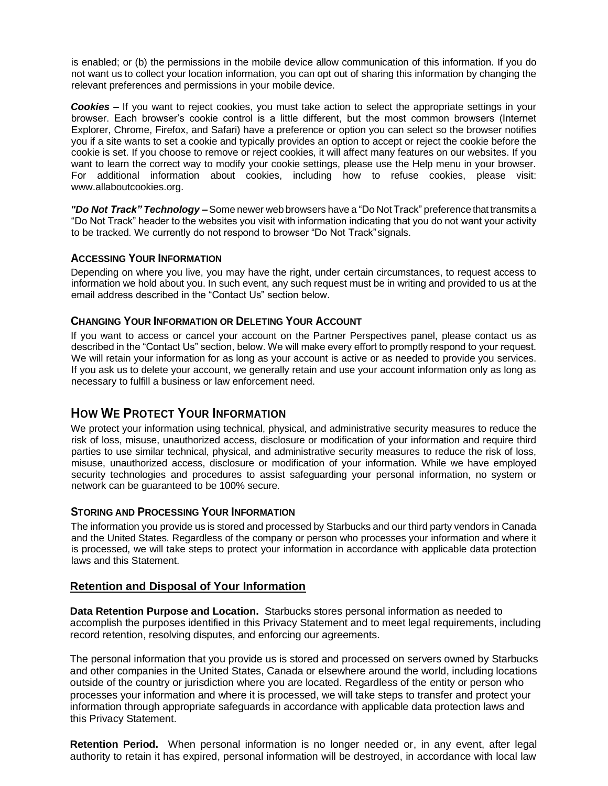is enabled; or (b) the permissions in the mobile device allow communication of this information. If you do not want us to collect your location information, you can opt out of sharing this information by changing the relevant preferences and permissions in your mobile device.

**Cookies** – If you want to reject cookies, you must take action to select the appropriate settings in your browser. Each browser's cookie control is a little different, but the most common browsers (Internet Explorer, Chrome, Firefox, and Safari) have a preference or option you can select so the browser notifies you if a site wants to set a cookie and typically provides an option to accept or reject the cookie before the cookie is set. If you choose to remove or reject cookies, it will affect many features on our websites. If you want to learn the correct way to modify your cookie settings, please use the Help menu in your browser. For additional information about cookies, including how to refuse cookies, please visit: [www.allaboutcookies.org.](http://www.allaboutcookies.org/)

*"Do Not Track" Technology –*Some newer web browsers have a "Do Not Track" preference that transmits a "Do Not Track" header to the websites you visit with information indicating that you do not want your activity to be tracked. We currently do not respond to browser "Do Not Track"signals.

#### **ACCESSING YOUR INFORMATION**

Depending on where you live, you may have the right, under certain circumstances, to request access to information we hold about you. In such event, any such request must be in writing and provided to us at the email address described in the "Contact Us" section below.

#### **CHANGING YOUR INFORMATION OR DELETING YOUR ACCOUNT**

If you want to access or cancel your account on the Partner Perspectives panel, please contact us as described in the "Contact Us" section, below. We will make every effort to promptly respond to your request. We will retain your information for as long as your account is active or as needed to provide you services. If you ask us to delete your account, we generally retain and use your account information only as long as necessary to fulfill a business or law enforcement need.

# **HOW WE PROTECT YOUR INFORMATION**

We protect your information using technical, physical, and administrative security measures to reduce the risk of loss, misuse, unauthorized access, disclosure or modification of your information and require third parties to use similar technical, physical, and administrative security measures to reduce the risk of loss, misuse, unauthorized access, disclosure or modification of your information. While we have employed security technologies and procedures to assist safeguarding your personal information, no system or network can be guaranteed to be 100% secure.

#### **STORING AND PROCESSING YOUR INFORMATION**

The information you provide us is stored and processed by Starbucks and our third party vendors in Canada and the United States. Regardless of the company or person who processes your information and where it is processed, we will take steps to protect your information in accordance with applicable data protection laws and this Statement.

#### **Retention and Disposal of Your Information**

**Data Retention Purpose and Location.** Starbucks stores personal information as needed to accomplish the purposes identified in this Privacy Statement and to meet legal requirements, including record retention, resolving disputes, and enforcing our agreements.

The personal information that you provide us is stored and processed on servers owned by Starbucks and other companies in the United States, Canada or elsewhere around the world, including locations outside of the country or jurisdiction where you are located. Regardless of the entity or person who processes your information and where it is processed, we will take steps to transfer and protect your information through appropriate safeguards in accordance with applicable data protection laws and this Privacy Statement.

**Retention Period.** When personal information is no longer needed or, in any event, after legal authority to retain it has expired, personal information will be destroyed, in accordance with local law